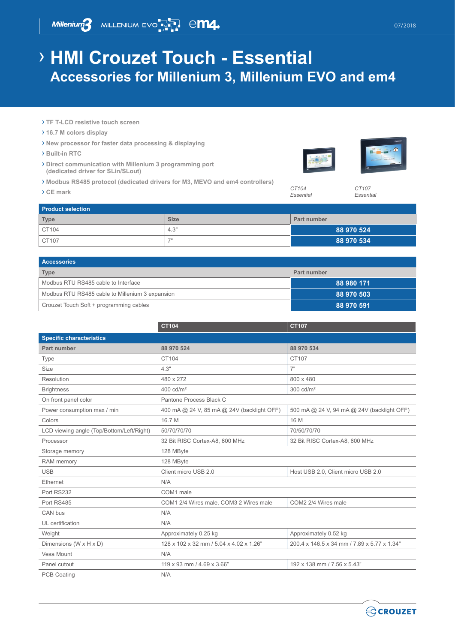Millenium 3 MILLENIUM EVO<sup>T</sup> 7 CM4

## › **HMI Crouzet Touch - Essential Accessories for Millenium 3, Millenium EVO and em4**

- › **TF T-LCD resistive touch screen**
- › **16.7 M colors display**
- › **New processor for faster data processing & displaying**
- › **Built-in RTC**
- › **Direct communication with Millenium 3 programming port (dedicated driver for SLin/SLout)**
- › **Modbus RS485 protocol (dedicated drivers for M3, MEVO and em4 controllers)**
- › **CE mark** *CT104*





*Essential*

*CT107 Essential*

| <b>Product selection</b> |             |             |  |
|--------------------------|-------------|-------------|--|
| <b>Type</b>              | <b>Size</b> | Part number |  |
| CT104                    | 4.3"        | 88 970 524  |  |
| CT107                    | 70          | 88 970 534  |  |

| <b>Accessories</b>                              |             |  |
|-------------------------------------------------|-------------|--|
| <b>Type</b>                                     | Part number |  |
| Modbus RTU RS485 cable to Interface             | 88 980 171  |  |
| Modbus RTU RS485 cable to Millenium 3 expansion | 88 970 503  |  |
| Crouzet Touch Soft + programming cables         | 88 970 591  |  |

|                                           | <b>CT104</b>                               | <b>CT107</b>                                |
|-------------------------------------------|--------------------------------------------|---------------------------------------------|
| <b>Specific characteristics</b>           |                                            |                                             |
| Part number                               | 88 970 524                                 | 88 970 534                                  |
| Type                                      | CT104                                      | CT107                                       |
| Size                                      | 4.3"                                       | 7"                                          |
| Resolution                                | 480 x 272                                  | 800 x 480                                   |
| <b>Brightness</b>                         | 400 cd/m <sup>2</sup>                      | $300 \text{ cd/m}^2$                        |
| On front panel color                      | Pantone Process Black C                    |                                             |
| Power consumption max / min               | 400 mA @ 24 V, 85 mA @ 24V (backlight OFF) | 500 mA @ 24 V, 94 mA @ 24V (backlight OFF)  |
| Colors                                    | 16.7 M                                     | 16 M                                        |
| LCD viewing angle (Top/Bottom/Left/Right) | 50/70/70/70                                | 70/50/70/70                                 |
| Processor                                 | 32 Bit RISC Cortex-A8, 600 MHz             | 32 Bit RISC Cortex-A8, 600 MHz              |
| Storage memory                            | 128 MByte                                  |                                             |
| RAM memory                                | 128 MByte                                  |                                             |
| <b>USB</b>                                | Client micro USB 2.0                       | Host USB 2.0, Client micro USB 2.0          |
| Ethernet                                  | N/A                                        |                                             |
| Port RS232                                | COM1 male                                  |                                             |
| Port RS485                                | COM1 2/4 Wires male, COM3 2 Wires male     | COM2 2/4 Wires male                         |
| CAN bus                                   | N/A                                        |                                             |
| UL certification                          | N/A                                        |                                             |
| Weight                                    | Approximately 0.25 kg                      | Approximately 0.52 kg                       |
| Dimensions (W x H x D)                    | 128 x 102 x 32 mm / 5.04 x 4.02 x 1.26"    | 200.4 x 146.5 x 34 mm / 7.89 x 5.77 x 1.34" |
| Vesa Mount                                | N/A                                        |                                             |
| Panel cutout                              | 119 x 93 mm / 4.69 x 3.66"                 | 192 x 138 mm / 7.56 x 5.43"                 |
| <b>PCB Coating</b>                        | N/A                                        |                                             |

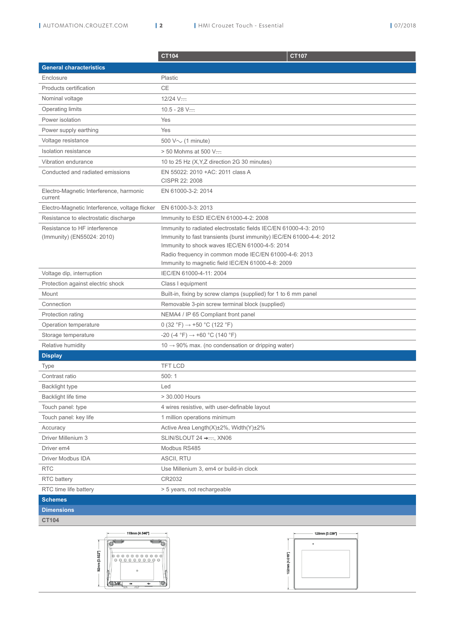|                                                             | CT104                                                                                                                                                                                                                                                                                                   | <b>CT107</b> |
|-------------------------------------------------------------|---------------------------------------------------------------------------------------------------------------------------------------------------------------------------------------------------------------------------------------------------------------------------------------------------------|--------------|
| <b>General characteristics</b>                              |                                                                                                                                                                                                                                                                                                         |              |
| Enclosure                                                   | Plastic                                                                                                                                                                                                                                                                                                 |              |
| Products certification                                      | CE                                                                                                                                                                                                                                                                                                      |              |
| Nominal voltage                                             | $12/24$ V-                                                                                                                                                                                                                                                                                              |              |
| Operating limits                                            | $10.5 - 28$ V-                                                                                                                                                                                                                                                                                          |              |
| Power isolation                                             | Yes                                                                                                                                                                                                                                                                                                     |              |
| Power supply earthing                                       | Yes                                                                                                                                                                                                                                                                                                     |              |
| Voltage resistance                                          | 500 $V \sim$ (1 minute)                                                                                                                                                                                                                                                                                 |              |
| Isolation resistance                                        | $>$ 50 Mohms at 500 V—                                                                                                                                                                                                                                                                                  |              |
| Vibration endurance                                         | 10 to 25 Hz (X, Y, Z direction 2G 30 minutes)                                                                                                                                                                                                                                                           |              |
| Conducted and radiated emissions                            | EN 55022: 2010 + AC: 2011 class A<br>CISPR 22: 2008                                                                                                                                                                                                                                                     |              |
| Electro-Magnetic Interference, harmonic<br>current          | EN 61000-3-2: 2014                                                                                                                                                                                                                                                                                      |              |
| Electro-Magnetic Interference, voltage flicker              | EN 61000-3-3: 2013                                                                                                                                                                                                                                                                                      |              |
| Resistance to electrostatic discharge                       | Immunity to ESD IEC/EN 61000-4-2: 2008                                                                                                                                                                                                                                                                  |              |
| Resistance to HF interference<br>(Immunity) (EN55024: 2010) | Immunity to radiated electrostatic fields IEC/EN 61000-4-3: 2010<br>Immunity to fast transients (burst immunity) IEC/EN 61000-4-4: 2012<br>Immunity to shock waves IEC/EN 61000-4-5: 2014<br>Radio frequency in common mode IEC/EN 61000-4-6: 2013<br>Immunity to magnetic field IEC/EN 61000-4-8: 2009 |              |
| Voltage dip, interruption                                   | IEC/EN 61000-4-11: 2004                                                                                                                                                                                                                                                                                 |              |
| Protection against electric shock                           | Class I equipment                                                                                                                                                                                                                                                                                       |              |
| Mount                                                       | Built-in, fixing by screw clamps (supplied) for 1 to 6 mm panel                                                                                                                                                                                                                                         |              |
| Connection                                                  | Removable 3-pin screw terminal block (supplied)                                                                                                                                                                                                                                                         |              |
| Protection rating                                           | NEMA4 / IP 65 Compliant front panel                                                                                                                                                                                                                                                                     |              |
| Operation temperature                                       | 0 (32 °F) $\rightarrow$ +50 °C (122 °F)                                                                                                                                                                                                                                                                 |              |
| Storage temperature                                         | $-20$ (-4 °F) $\rightarrow$ +60 °C (140 °F)                                                                                                                                                                                                                                                             |              |
| Relative humidity                                           | $10 \rightarrow 90\%$ max. (no condensation or dripping water)                                                                                                                                                                                                                                          |              |
| <b>Display</b>                                              |                                                                                                                                                                                                                                                                                                         |              |
| Type                                                        | <b>TFT LCD</b>                                                                                                                                                                                                                                                                                          |              |
| Contrast ratio                                              | 500:1                                                                                                                                                                                                                                                                                                   |              |
| <b>Backlight type</b>                                       | Led                                                                                                                                                                                                                                                                                                     |              |
| Backlight life time                                         | > 30.000 Hours                                                                                                                                                                                                                                                                                          |              |
| Touch panel: type                                           | 4 wires resistive, with user-definable layout                                                                                                                                                                                                                                                           |              |
| Touch panel: key life                                       | 1 million operations minimum                                                                                                                                                                                                                                                                            |              |
| Accuracy                                                    | Active Area Length $(X)\pm 2\%$ , Width $(Y)\pm 2\%$                                                                                                                                                                                                                                                    |              |
| Driver Millenium 3                                          | SLIN/SLOUT 24 → ---- XN06                                                                                                                                                                                                                                                                               |              |
| Driver em4                                                  | Modbus RS485                                                                                                                                                                                                                                                                                            |              |
| Driver Modbus IDA                                           | ASCII, RTU                                                                                                                                                                                                                                                                                              |              |
| <b>RTC</b>                                                  | Use Millenium 3, em4 or build-in clock                                                                                                                                                                                                                                                                  |              |
| <b>RTC</b> battery                                          | CR2032                                                                                                                                                                                                                                                                                                  |              |
| RTC time life battery                                       | > 5 years, not rechargeable                                                                                                                                                                                                                                                                             |              |
| <b>Schemes</b>                                              |                                                                                                                                                                                                                                                                                                         |              |
| <b>Dimensions</b>                                           |                                                                                                                                                                                                                                                                                                         |              |

**CT104**



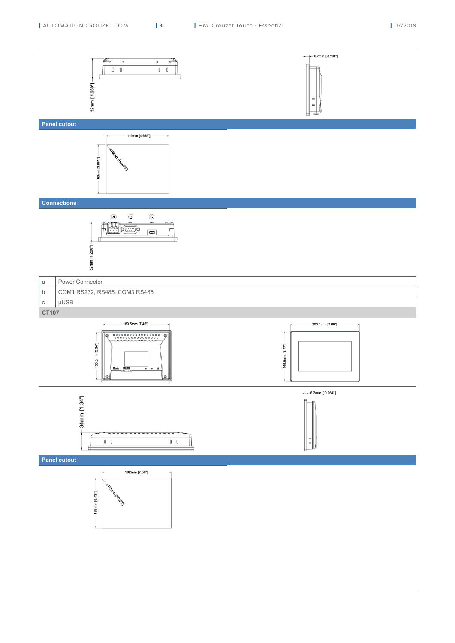